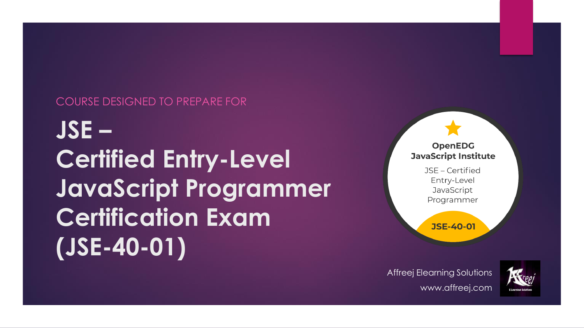#### COURSE DESIGNED TO PREPARE FOR

**JSE – Certified Entry-Level JavaScript Programmer Certification Exam (JSE-40-01)**

#### **OpenEDG JavaScript Institute**

JSE - Certified Entry-Level JavaScript Programmer

**JSE-40-01** 

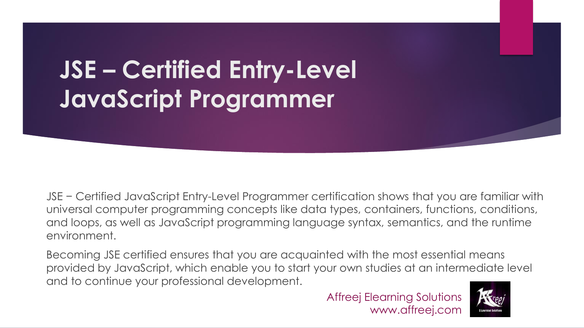# **JSE – Certified Entry-Level JavaScript Programmer**

JSE − Certified JavaScript Entry-Level Programmer certification shows that you are familiar with universal computer programming concepts like data types, containers, functions, conditions, and loops, as well as JavaScript programming language syntax, semantics, and the runtime environment.

Becoming JSE certified ensures that you are acquainted with the most essential means provided by JavaScript, which enable you to start your own studies at an intermediate level and to continue your professional development.

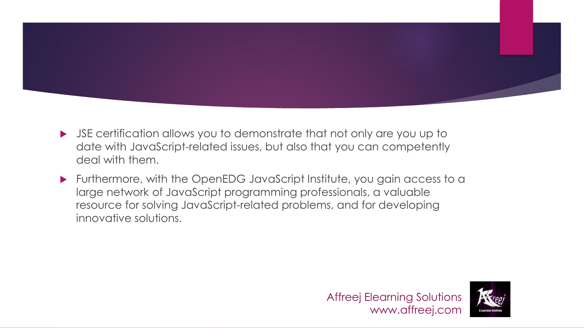

- JSE certification allows you to demonstrate that not only are you up to date with JavaScript-related issues, but also that you can competently deal with them.
- Furthermore, with the OpenEDG JavaScript Institute, you gain access to a large network of JavaScript programming professionals, a valuable resource for solving JavaScript-related problems, and for developing innovative solutions.



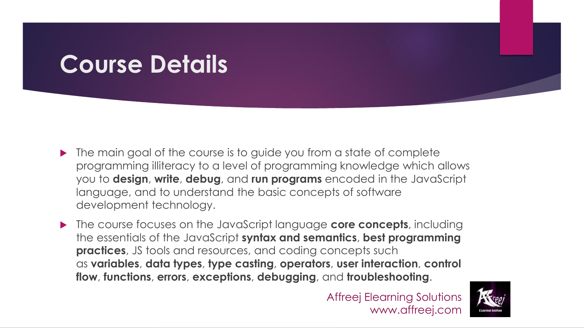# **Course Details**

- $\blacktriangleright$  The main goal of the course is to guide you from a state of complete programming illiteracy to a level of programming knowledge which allows you to **design**, **write**, **debug**, and **run programs** encoded in the JavaScript language, and to understand the basic concepts of software development technology.
- The course focuses on the JavaScript language **core concepts**, including the essentials of the JavaScript **syntax and semantics**, **best programming practices**, JS tools and resources, and coding concepts such as **variables**, **data types**, **type casting**, **operators**, **user interaction**, **control flow**, **functions**, **errors**, **exceptions**, **debugging**, and **troubleshooting**.

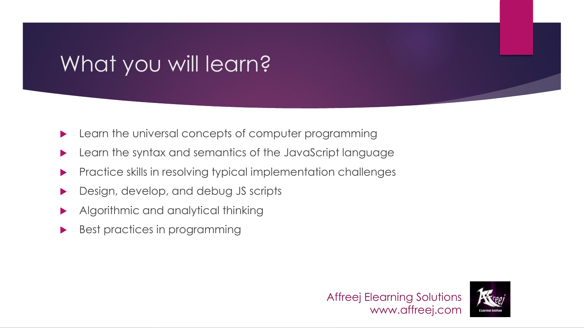# What you will learn?

- **Learn the universal concepts of computer programming**
- Learn the syntax and semantics of the JavaScript language
- **Practice skills in resolving typical implementation challenges**
- **Design, develop, and debug JS scripts**
- Algorithmic and analytical thinking
- Best practices in programming

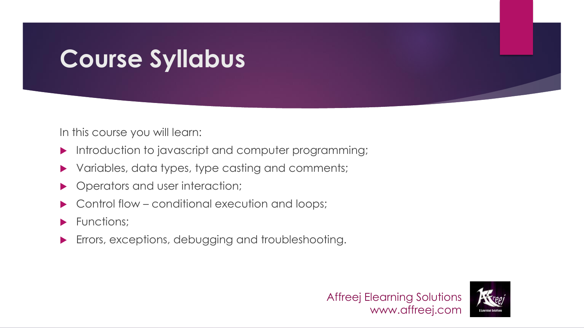# **Course Syllabus**

In this course you will learn:

- Introduction to javascript and computer programming;
- Variables, data types, type casting and comments;
- **Dead Operators and user interaction;**
- Control flow conditional execution and loops;
- Functions;
- **Errors, exceptions, debugging and troubleshooting.**



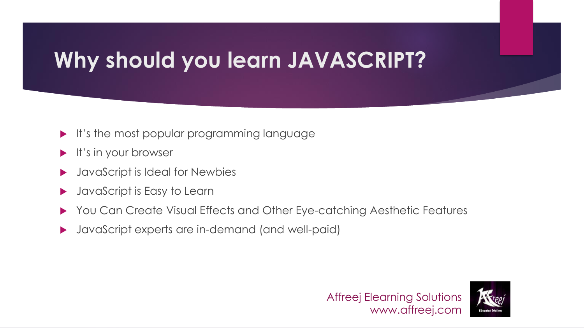## **Why should you learn JAVASCRIPT?**

- It's the most popular programming language
- It's in your browser
- JavaScript is Ideal for Newbies
- JavaScript is Easy to Learn
- ▶ You Can Create Visual Effects and Other Eye-catching Aesthetic Features
- JavaScript experts are in-demand (and well-paid)

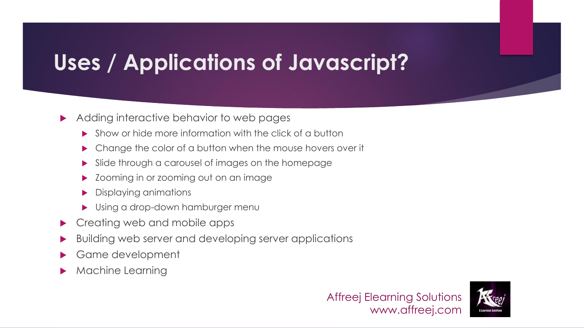## **Uses / Applications of Javascript?**

#### Adding interactive behavior to web pages

- Show or hide more information with the click of a button
- Change the color of a button when the mouse hovers over it
- Slide through a carousel of images on the homepage
- Zooming in or zooming out on an image
- Displaying animations
- Using a drop-down hamburger menu
- ▶ Creating web and mobile apps
- Building web server and developing server applications
- Game development
- Machine Learning



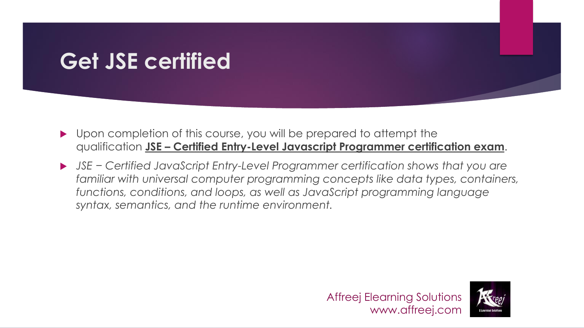### **Get JSE certified**

- ▶ Upon completion of this course, you will be prepared to attempt the qualification **JSE – Certified Entry-Level Javascript Programmer certification exam**.
- *JSE − Certified JavaScript Entry-Level Programmer certification shows that you are familiar with universal computer programming concepts like data types, containers, functions, conditions, and loops, as well as JavaScript programming language syntax, semantics, and the runtime environment.*



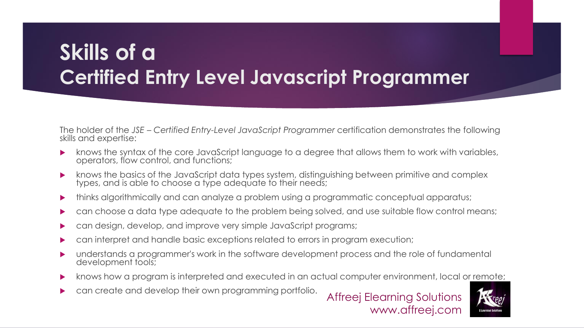### **Skills of a Certified Entry Level Javascript Programmer**

The holder of the *JSE – Certified Entry-Level JavaScript Programmer* certification demonstrates the following skills and expertise:

- knows the syntax of the core JavaScript language to a degree that allows them to work with variables, operators, flow control, and functions;
- knows the basics of the JavaScript data types system, distinguishing between primitive and complex types, and is able to choose a type adequate to their needs;
- thinks algorithmically and can analyze a problem using a programmatic conceptual apparatus;
- can choose a data type adequate to the problem being solved, and use suitable flow control means;
- can design, develop, and improve very simple JavaScript programs;
- can interpret and handle basic exceptions related to errors in program execution;
- understands a programmer's work in the software development process and the role of fundamental development tools;
- knows how a program is interpreted and executed in an actual computer environment, local or remote;
- **Example 20 can create and develop their own programming portfolio.**

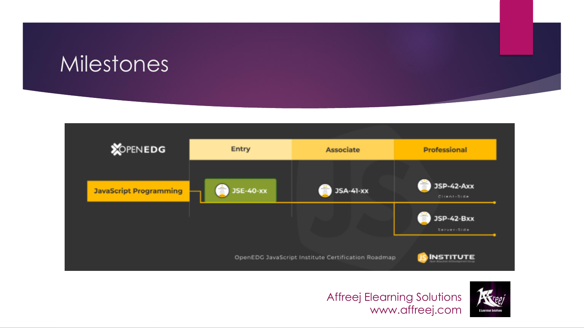### Milestones





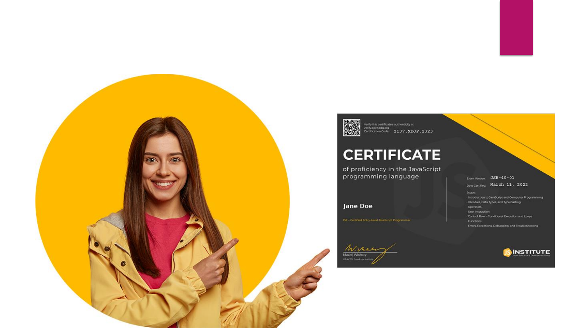



Verify this certificates authenticity at<br>verify.openedg.org<br>Certification Code: 2137.xDJP.2323

#### **CERTIFICATE**

of proficiency in the JavaScript programming language

**Jane Doe** 

Exam Version: JSE-40-01 Date Certified: March 11, 2022 Scope: - Introduction to JavaScript and Computer Programming - Variables, Data Types, and Type Casting Operators User Interaction Control Flow - Conditional Execution and Loops - Functions - Errors, Exceptions, Debugging, and Troubleshooting

**SINSTITUTE** 

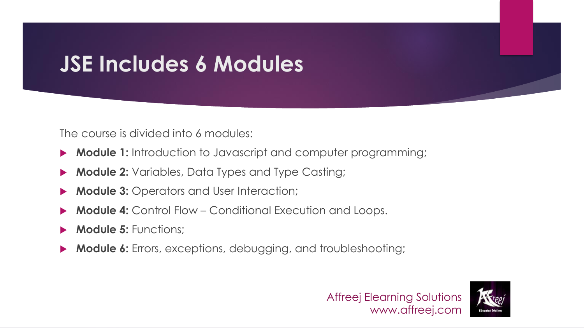## **JSE Includes 6 Modules**

The course is divided into 6 modules:

- **Module 1:** Introduction to Javascript and computer programming;
- **Module 2:** Variables, Data Types and Type Casting;
- **Module 3:** Operators and User Interaction;
- **Module 4:** Control Flow Conditional Execution and Loops.
- **Module 5: Functions:**
- **Module 6:** Errors, exceptions, debugging, and troubleshooting;



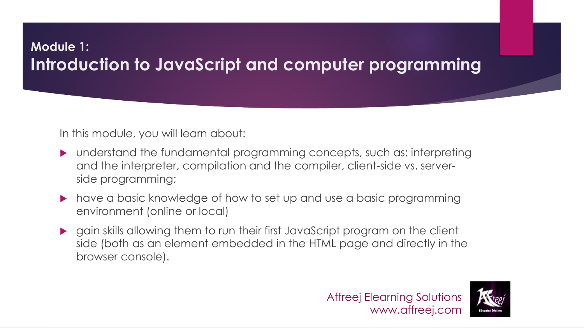### **Module 1: Introduction to JavaScript and computer programming**

In this module, you will learn about:

- understand the fundamental programming concepts, such as: interpreting and the interpreter, compilation and the compiler, client-side vs. serverside programming;
- have a basic knowledge of how to set up and use a basic programming environment (online or local)
- gain skills allowing them to run their first JavaScript program on the client side (both as an element embedded in the HTML page and directly in the browser console).

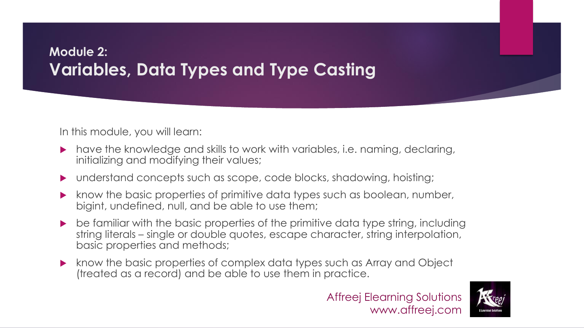### **Module 2: Variables, Data Types and Type Casting**

In this module, you will learn:

- have the knowledge and skills to work with variables, i.e. naming, declaring, initializing and modifying their values;
- understand concepts such as scope, code blocks, shadowing, hoisting;
- know the basic properties of primitive data types such as boolean, number, bigint, undefined, null, and be able to use them;
- be familiar with the basic properties of the primitive data type string, including string literals – single or double quotes, escape character, string interpolation, basic properties and methods;
- **K** know the basic properties of complex data types such as Array and Object (treated as a record) and be able to use them in practice.



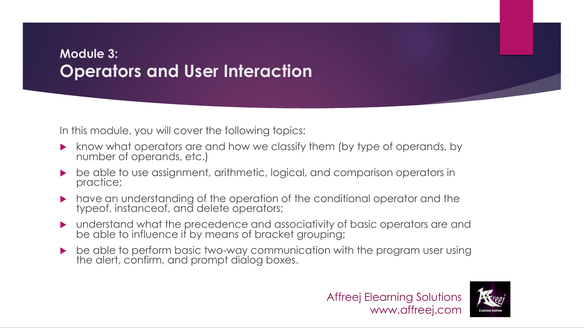#### **Module 3: Operators and User Interaction**

- **K** know what operators are and how we classify them (by type of operands, by number of operands, etc.)
- be able to use assignment, arithmetic, logical, and comparison operators in practice;
- have an understanding of the operation of the conditional operator and the typeof, instanceof, and delete operators;
- understand what the precedence and associativity of basic operators are and be able to influence it by means of bracket grouping;
- be able to perform basic two-way communication with the program user using the alert, confirm, and prompt dialog boxes.

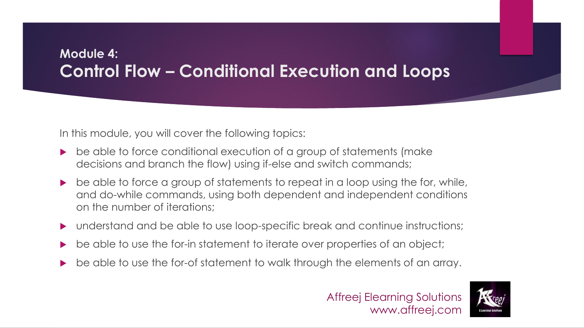### **Module 4: Control Flow – Conditional Execution and Loops**

- be able to force conditional execution of a group of statements (make decisions and branch the flow) using if-else and switch commands;
- $\triangleright$  be able to force a group of statements to repeat in a loop using the for, while, and do-while commands, using both dependent and independent conditions on the number of iterations;
- understand and be able to use loop-specific break and continue instructions;
- be able to use the for-in statement to iterate over properties of an object;
- be able to use the for-of statement to walk through the elements of an array.

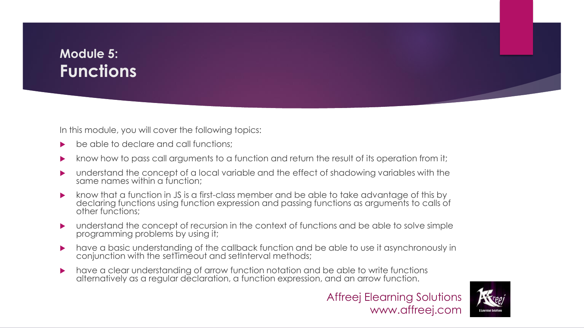### **Module 5: Functions**

- be able to declare and call functions;
- know how to pass call arguments to a function and return the result of its operation from it;
- understand the concept of a local variable and the effect of shadowing variables with the same names within a function:
- know that a function in JS is a first-class member and be able to take advantage of this by declaring functions using function expression and passing functions as arguments to calls of other functions;
- understand the concept of recursion in the context of functions and be able to solve simple programming problems by using it;
- have a basic understanding of the callback function and be able to use it asynchronously in conjunction with the setTimeout and setInterval methods;
- have a clear understanding of arrow function notation and be able to write functions alternatively as a regular declaration, a function expression, and an arrow function.



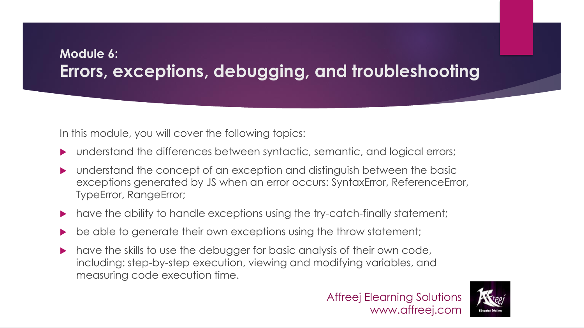### **Module 6: Errors, exceptions, debugging, and troubleshooting**

- understand the differences between syntactic, semantic, and logical errors;
- understand the concept of an exception and distinguish between the basic exceptions generated by JS when an error occurs: SyntaxError, ReferenceError, TypeError, RangeError;
- have the ability to handle exceptions using the try-catch-finally statement;
- be able to generate their own exceptions using the throw statement;
- $\blacktriangleright$  have the skills to use the debugger for basic analysis of their own code, including: step-by-step execution, viewing and modifying variables, and measuring code execution time.



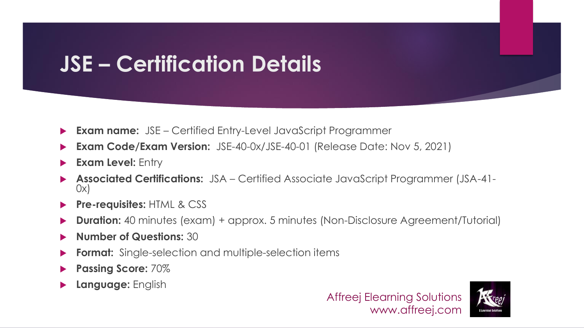## **JSE – Certification Details**

- **Exam name:** JSE Certified Entry-Level JavaScript Programmer
- **Exam Code/Exam Version:** JSE-40-0x/JSE-40-01 (Release Date: Nov 5, 2021)
- **Exam Level: Entry**
- **Associated Certifications:** JSA Certified Associate JavaScript Programmer (JSA-41- 0x)
- **Pre-requisites:** HTML & CSS
- **Duration:** 40 minutes (exam) + approx. 5 minutes (Non-Disclosure Agreement/Tutorial)
- **Number of Questions:** 30
- **Format:** Single-selection and multiple-selection items
- **Passing Score:** 70%
- **Language:** English



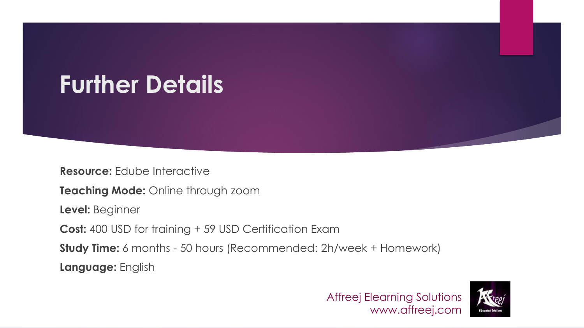# **Further Details**

**Resource:** Edube Interactive

**Teaching Mode:** Online through zoom

**Level:** Beginner

**Cost:** 400 USD for training + 59 USD Certification Exam

**Study Time:** 6 months - 50 hours (Recommended: 2h/week + Homework)

**Language:** English